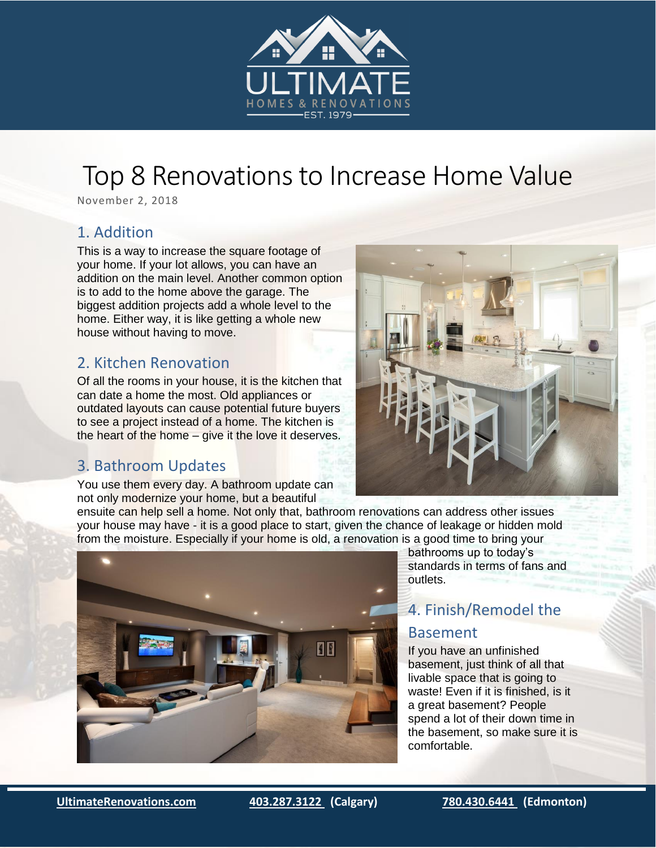

# Top 8 Renovations to Increase Home Value

November 2, 2018

#### 1. Addition

This is a way to increase the square footage of your home. If your lot allows, you can have an addition on the main level. Another common option is to add to the home above the garage. The biggest addition projects add a whole level to the home. Either way, it is like getting a whole new house without having to move.

### 2. Kitchen Renovation

Of all the rooms in your house, it is the kitchen that can date a home the most. Old appliances or outdated layouts can cause potential future buyers to see a project instead of a home. The kitchen is the heart of the home – give it the love it deserves.

# 3. Bathroom Updates

You use them every day. A bathroom update can not only modernize your home, but a beautiful

ensuite can help sell a home. Not only that, bathroom renovations can address other issues your house may have - it is a good place to start, given the chance of leakage or hidden mold from the moisture. Especially if your home is old, a renovation is a good time to bring your



bathrooms up to today's standards in terms of fans and outlets.

# 4. Finish/Remodel the

#### Basement

If you have an unfinished basement, just think of all that livable space that is going to waste! Even if it is finished, is it a great basement? People spend a lot of their down time in the basement, so make sure it is comfortable.

i<br>I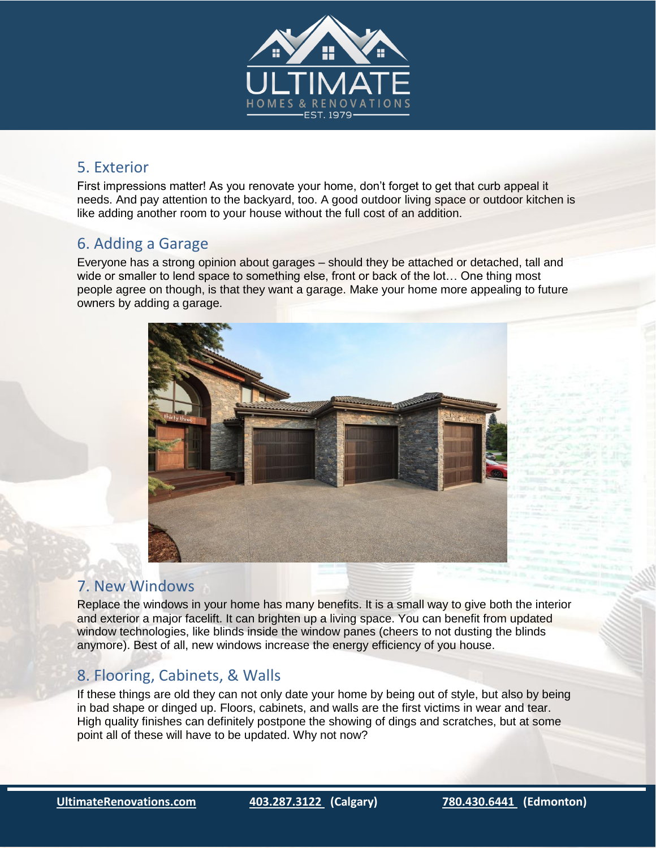

#### 5. Exterior

First impressions matter! As you renovate your home, don't forget to get that curb appeal it needs. And pay attention to the backyard, too. A good outdoor living space or outdoor kitchen is like adding another room to your house without the full cost of an addition.

## 6. Adding a Garage

Everyone has a strong opinion about garages – should they be attached or detached, tall and wide or smaller to lend space to something else, front or back of the lot… One thing most people agree on though, is that they want a garage. Make your home more appealing to future owners by adding a garage.



#### 7. New Windows

Replace the windows in your home has many benefits. It is a small way to give both the interior and exterior a major facelift. It can brighten up a living space. You can benefit from updated window technologies, like blinds inside the window panes (cheers to not dusting the blinds anymore). Best of all, new windows increase the energy efficiency of you house.

### 8. Flooring, Cabinets, & Walls

If these things are old they can not only date your home by being out of style, but also by being in bad shape or dinged up. Floors, cabinets, and walls are the first victims in wear and tear. High quality finishes can definitely postpone the showing of dings and scratches, but at some point all of these will have to be updated. Why not now?

i<br>I